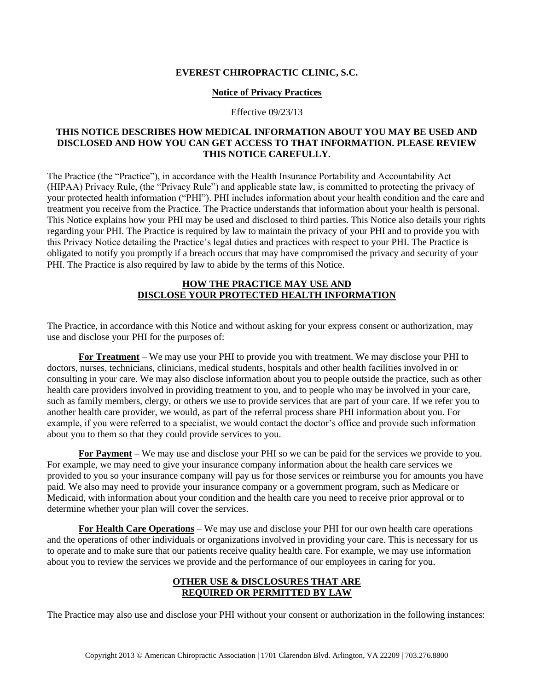## **EVEREST CHIROPRACTIC CLINIC, S.C.**

#### **Notice of Privacy Practices**

#### Effective 09/23/13

## **THIS NOTICE DESCRIBES HOW MEDICAL INFORMATION ABOUT YOU MAY BE USED AND DISCLOSED AND HOW YOU CAN GET ACCESS TO THAT INFORMATION. PLEASE REVIEW THIS NOTICE CAREFULLY.**

The Practice (the "Practice"), in accordance with the Health Insurance Portability and Accountability Act (HIPAA) Privacy Rule, (the "Privacy Rule") and applicable state law, is committed to protecting the privacy of your protected health information ("PHI"). PHI includes information about your health condition and the care and treatment you receive from the Practice. The Practice understands that information about your health is personal. This Notice explains how your PHI may be used and disclosed to third parties. This Notice also details your rights regarding your PHI. The Practice is required by law to maintain the privacy of your PHI and to provide you with this Privacy Notice detailing the Practice's legal duties and practices with respect to your PHI. The Practice is obligated to notify you promptly if a breach occurs that may have compromised the privacy and security of your PHI. The Practice is also required by law to abide by the terms of this Notice.

## **HOW THE PRACTICE MAY USE AND DISCLOSE YOUR PROTECTED HEALTH INFORMATION**

The Practice, in accordance with this Notice and without asking for your express consent or authorization, may use and disclose your PHI for the purposes of:

**For Treatment** – We may use your PHI to provide you with treatment. We may disclose your PHI to doctors, nurses, technicians, clinicians, medical students, hospitals and other health facilities involved in or consulting in your care. We may also disclose information about you to people outside the practice, such as other health care providers involved in providing treatment to you, and to people who may be involved in your care, such as family members, clergy, or others we use to provide services that are part of your care. If we refer you to another health care provider, we would, as part of the referral process share PHI information about you. For example, if you were referred to a specialist, we would contact the doctor's office and provide such information about you to them so that they could provide services to you.

**For Payment** – We may use and disclose your PHI so we can be paid for the services we provide to you. For example, we may need to give your insurance company information about the health care services we provided to you so your insurance company will pay us for those services or reimburse you for amounts you have paid. We also may need to provide your insurance company or a government program, such as Medicare or Medicaid, with information about your condition and the health care you need to receive prior approval or to determine whether your plan will cover the services.

**For Health Care Operations** – We may use and disclose your PHI for our own health care operations and the operations of other individuals or organizations involved in providing your care. This is necessary for us to operate and to make sure that our patients receive quality health care. For example, we may use information about you to review the services we provide and the performance of our employees in caring for you.

# **OTHER USE & DISCLOSURES THAT ARE REQUIRED OR PERMITTED BY LAW**

The Practice may also use and disclose your PHI without your consent or authorization in the following instances: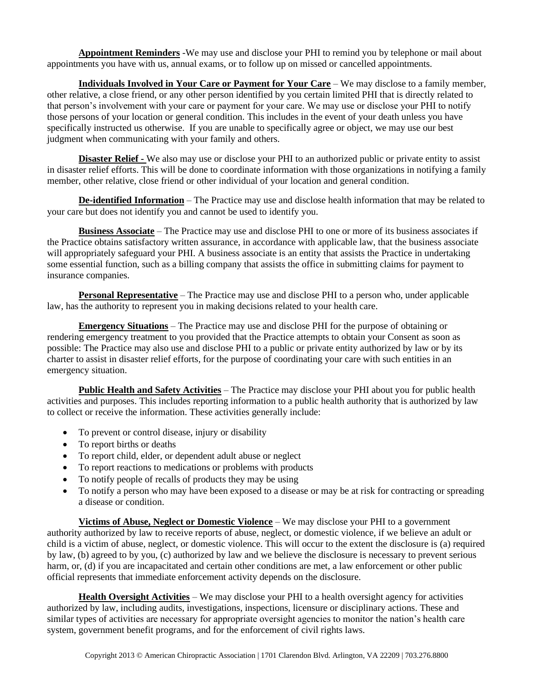**Appointment Reminders** -We may use and disclose your PHI to remind you by telephone or mail about appointments you have with us, annual exams, or to follow up on missed or cancelled appointments.

**Individuals Involved in Your Care or Payment for Your Care** – We may disclose to a family member, other relative, a close friend, or any other person identified by you certain limited PHI that is directly related to that person's involvement with your care or payment for your care. We may use or disclose your PHI to notify those persons of your location or general condition. This includes in the event of your death unless you have specifically instructed us otherwise. If you are unable to specifically agree or object, we may use our best judgment when communicating with your family and others.

**Disaster Relief -** We also may use or disclose your PHI to an authorized public or private entity to assist in disaster relief efforts. This will be done to coordinate information with those organizations in notifying a family member, other relative, close friend or other individual of your location and general condition.

**De-identified Information** – The Practice may use and disclose health information that may be related to your care but does not identify you and cannot be used to identify you.

**Business Associate** – The Practice may use and disclose PHI to one or more of its business associates if the Practice obtains satisfactory written assurance, in accordance with applicable law, that the business associate will appropriately safeguard your PHI. A business associate is an entity that assists the Practice in undertaking some essential function, such as a billing company that assists the office in submitting claims for payment to insurance companies.

**Personal Representative** – The Practice may use and disclose PHI to a person who, under applicable law, has the authority to represent you in making decisions related to your health care.

**Emergency Situations** – The Practice may use and disclose PHI for the purpose of obtaining or rendering emergency treatment to you provided that the Practice attempts to obtain your Consent as soon as possible: The Practice may also use and disclose PHI to a public or private entity authorized by law or by its charter to assist in disaster relief efforts, for the purpose of coordinating your care with such entities in an emergency situation.

**Public Health and Safety Activities** – The Practice may disclose your PHI about you for public health activities and purposes. This includes reporting information to a public health authority that is authorized by law to collect or receive the information. These activities generally include:

- To prevent or control disease, injury or disability
- To report births or deaths
- To report child, elder, or dependent adult abuse or neglect
- To report reactions to medications or problems with products
- To notify people of recalls of products they may be using
- To notify a person who may have been exposed to a disease or may be at risk for contracting or spreading a disease or condition.

**Victims of Abuse, Neglect or Domestic Violence** – We may disclose your PHI to a government authority authorized by law to receive reports of abuse, neglect, or domestic violence, if we believe an adult or child is a victim of abuse, neglect, or domestic violence. This will occur to the extent the disclosure is (a) required by law, (b) agreed to by you, (c) authorized by law and we believe the disclosure is necessary to prevent serious harm, or, (d) if you are incapacitated and certain other conditions are met, a law enforcement or other public official represents that immediate enforcement activity depends on the disclosure.

**Health Oversight Activities** – We may disclose your PHI to a health oversight agency for activities authorized by law, including audits, investigations, inspections, licensure or disciplinary actions. These and similar types of activities are necessary for appropriate oversight agencies to monitor the nation's health care system, government benefit programs, and for the enforcement of civil rights laws.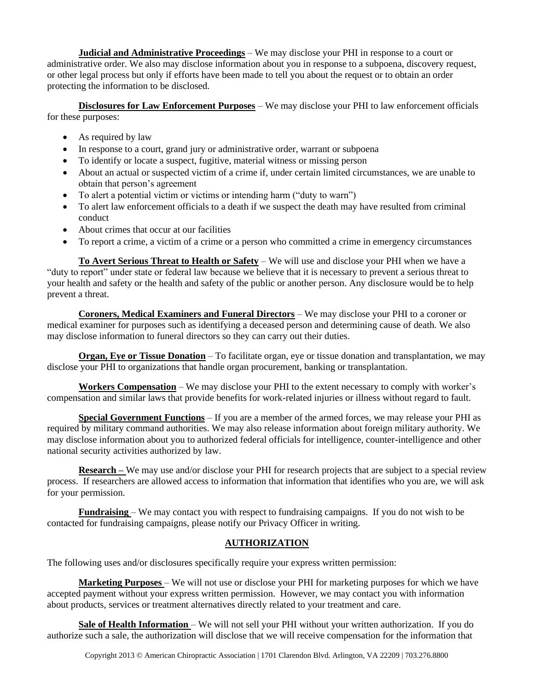**Judicial and Administrative Proceedings** – We may disclose your PHI in response to a court or administrative order. We also may disclose information about you in response to a subpoena, discovery request, or other legal process but only if efforts have been made to tell you about the request or to obtain an order protecting the information to be disclosed.

**Disclosures for Law Enforcement Purposes** – We may disclose your PHI to law enforcement officials for these purposes:

- As required by law
- In response to a court, grand jury or administrative order, warrant or subpoena
- To identify or locate a suspect, fugitive, material witness or missing person
- About an actual or suspected victim of a crime if, under certain limited circumstances, we are unable to obtain that person's agreement
- To alert a potential victim or victims or intending harm ("duty to warn")
- To alert law enforcement officials to a death if we suspect the death may have resulted from criminal conduct
- About crimes that occur at our facilities
- To report a crime, a victim of a crime or a person who committed a crime in emergency circumstances

**To Avert Serious Threat to Health or Safety** – We will use and disclose your PHI when we have a "duty to report" under state or federal law because we believe that it is necessary to prevent a serious threat to your health and safety or the health and safety of the public or another person. Any disclosure would be to help prevent a threat.

**Coroners, Medical Examiners and Funeral Directors** – We may disclose your PHI to a coroner or medical examiner for purposes such as identifying a deceased person and determining cause of death. We also may disclose information to funeral directors so they can carry out their duties.

**Organ, Eye or Tissue Donation** – To facilitate organ, eye or tissue donation and transplantation, we may disclose your PHI to organizations that handle organ procurement, banking or transplantation.

**Workers Compensation** – We may disclose your PHI to the extent necessary to comply with worker's compensation and similar laws that provide benefits for work-related injuries or illness without regard to fault.

**Special Government Functions** – If you are a member of the armed forces, we may release your PHI as required by military command authorities. We may also release information about foreign military authority. We may disclose information about you to authorized federal officials for intelligence, counter-intelligence and other national security activities authorized by law.

**Research** – We may use and/or disclose your PHI for research projects that are subject to a special review process. If researchers are allowed access to information that information that identifies who you are, we will ask for your permission.

**Fundraising** – We may contact you with respect to fundraising campaigns. If you do not wish to be contacted for fundraising campaigns, please notify our Privacy Officer in writing.

## **AUTHORIZATION**

The following uses and/or disclosures specifically require your express written permission:

**Marketing Purposes** – We will not use or disclose your PHI for marketing purposes for which we have accepted payment without your express written permission. However, we may contact you with information about products, services or treatment alternatives directly related to your treatment and care.

**Sale of Health Information** – We will not sell your PHI without your written authorization. If you do authorize such a sale, the authorization will disclose that we will receive compensation for the information that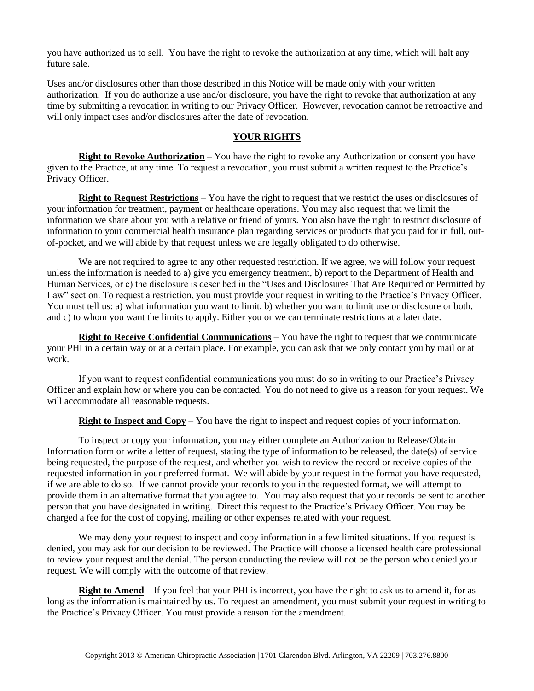you have authorized us to sell. You have the right to revoke the authorization at any time, which will halt any future sale.

Uses and/or disclosures other than those described in this Notice will be made only with your written authorization. If you do authorize a use and/or disclosure, you have the right to revoke that authorization at any time by submitting a revocation in writing to our Privacy Officer. However, revocation cannot be retroactive and will only impact uses and/or disclosures after the date of revocation.

## **YOUR RIGHTS**

**Right to Revoke Authorization** – You have the right to revoke any Authorization or consent you have given to the Practice, at any time. To request a revocation, you must submit a written request to the Practice's Privacy Officer.

**Right to Request Restrictions** – You have the right to request that we restrict the uses or disclosures of your information for treatment, payment or healthcare operations. You may also request that we limit the information we share about you with a relative or friend of yours. You also have the right to restrict disclosure of information to your commercial health insurance plan regarding services or products that you paid for in full, outof-pocket, and we will abide by that request unless we are legally obligated to do otherwise.

We are not required to agree to any other requested restriction. If we agree, we will follow your request unless the information is needed to a) give you emergency treatment, b) report to the Department of Health and Human Services, or c) the disclosure is described in the "Uses and Disclosures That Are Required or Permitted by Law" section. To request a restriction, you must provide your request in writing to the Practice's Privacy Officer. You must tell us: a) what information you want to limit, b) whether you want to limit use or disclosure or both, and c) to whom you want the limits to apply. Either you or we can terminate restrictions at a later date.

**Right to Receive Confidential Communications** – You have the right to request that we communicate your PHI in a certain way or at a certain place. For example, you can ask that we only contact you by mail or at work.

If you want to request confidential communications you must do so in writing to our Practice's Privacy Officer and explain how or where you can be contacted. You do not need to give us a reason for your request. We will accommodate all reasonable requests.

**Right to Inspect and Copy** – You have the right to inspect and request copies of your information.

To inspect or copy your information, you may either complete an Authorization to Release/Obtain Information form or write a letter of request, stating the type of information to be released, the date(s) of service being requested, the purpose of the request, and whether you wish to review the record or receive copies of the requested information in your preferred format. We will abide by your request in the format you have requested, if we are able to do so. If we cannot provide your records to you in the requested format, we will attempt to provide them in an alternative format that you agree to. You may also request that your records be sent to another person that you have designated in writing. Direct this request to the Practice's Privacy Officer. You may be charged a fee for the cost of copying, mailing or other expenses related with your request.

We may deny your request to inspect and copy information in a few limited situations. If you request is denied, you may ask for our decision to be reviewed. The Practice will choose a licensed health care professional to review your request and the denial. The person conducting the review will not be the person who denied your request. We will comply with the outcome of that review.

**Right to Amend** – If you feel that your PHI is incorrect, you have the right to ask us to amend it, for as long as the information is maintained by us. To request an amendment, you must submit your request in writing to the Practice's Privacy Officer. You must provide a reason for the amendment.